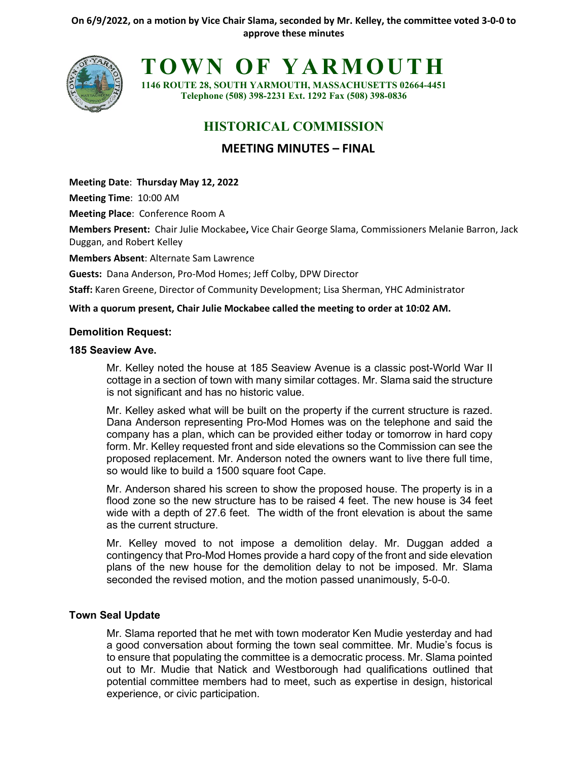

**TOWN OF YARMOUTH**

**1146 ROUTE 28, SOUTH YARMOUTH, MASSACHUSETTS 02664-4451 Telephone (508) 398-2231 Ext. 1292 Fax (508) 398-0836**

# **HISTORICAL COMMISSION**

# **MEETING MINUTES – FINAL**

**Meeting Date**: **Thursday May 12, 2022**

**Meeting Time**: 10:00 AM

**Meeting Place**: Conference Room A

**Members Present:** Chair Julie Mockabee**,** Vice Chair George Slama, Commissioners Melanie Barron, Jack Duggan, and Robert Kelley

**Members Absent**: Alternate Sam Lawrence

**Guests:** Dana Anderson, Pro-Mod Homes; Jeff Colby, DPW Director

**Staff:** Karen Greene, Director of Community Development; Lisa Sherman, YHC Administrator

#### **With a quorum present, Chair Julie Mockabee called the meeting to order at 10:02 AM.**

#### **Demolition Request:**

#### **185 Seaview Ave.**

Mr. Kelley noted the house at 185 Seaview Avenue is a classic post-World War II cottage in a section of town with many similar cottages. Mr. Slama said the structure is not significant and has no historic value.

Mr. Kelley asked what will be built on the property if the current structure is razed. Dana Anderson representing Pro-Mod Homes was on the telephone and said the company has a plan, which can be provided either today or tomorrow in hard copy form. Mr. Kelley requested front and side elevations so the Commission can see the proposed replacement. Mr. Anderson noted the owners want to live there full time, so would like to build a 1500 square foot Cape.

Mr. Anderson shared his screen to show the proposed house. The property is in a flood zone so the new structure has to be raised 4 feet. The new house is 34 feet wide with a depth of 27.6 feet. The width of the front elevation is about the same as the current structure.

Mr. Kelley moved to not impose a demolition delay. Mr. Duggan added a contingency that Pro-Mod Homes provide a hard copy of the front and side elevation plans of the new house for the demolition delay to not be imposed. Mr. Slama seconded the revised motion, and the motion passed unanimously, 5-0-0.

# **Town Seal Update**

Mr. Slama reported that he met with town moderator Ken Mudie yesterday and had a good conversation about forming the town seal committee. Mr. Mudie's focus is to ensure that populating the committee is a democratic process. Mr. Slama pointed out to Mr. Mudie that Natick and Westborough had qualifications outlined that potential committee members had to meet, such as expertise in design, historical experience, or civic participation.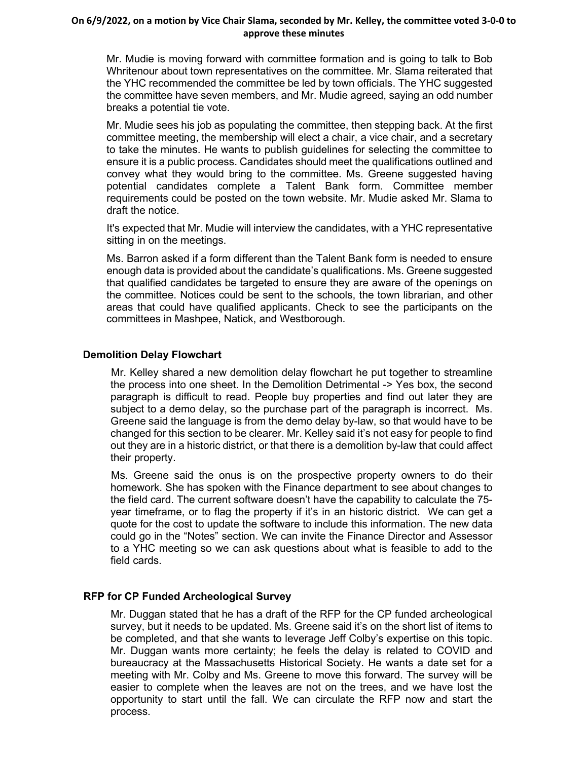#### **On 6/9/2022, on a motion by Vice Chair Slama, seconded by Mr. Kelley, the committee voted 3-0-0 to approve these minutes**

Mr. Mudie is moving forward with committee formation and is going to talk to Bob Whritenour about town representatives on the committee. Mr. Slama reiterated that the YHC recommended the committee be led by town officials. The YHC suggested the committee have seven members, and Mr. Mudie agreed, saying an odd number breaks a potential tie vote.

Mr. Mudie sees his job as populating the committee, then stepping back. At the first committee meeting, the membership will elect a chair, a vice chair, and a secretary to take the minutes. He wants to publish guidelines for selecting the committee to ensure it is a public process. Candidates should meet the qualifications outlined and convey what they would bring to the committee. Ms. Greene suggested having potential candidates complete a Talent Bank form. Committee member requirements could be posted on the town website. Mr. Mudie asked Mr. Slama to draft the notice.

It's expected that Mr. Mudie will interview the candidates, with a YHC representative sitting in on the meetings.

Ms. Barron asked if a form different than the Talent Bank form is needed to ensure enough data is provided about the candidate's qualifications. Ms. Greene suggested that qualified candidates be targeted to ensure they are aware of the openings on the committee. Notices could be sent to the schools, the town librarian, and other areas that could have qualified applicants. Check to see the participants on the committees in Mashpee, Natick, and Westborough.

# **Demolition Delay Flowchart**

Mr. Kelley shared a new demolition delay flowchart he put together to streamline the process into one sheet. In the Demolition Detrimental -> Yes box, the second paragraph is difficult to read. People buy properties and find out later they are subject to a demo delay, so the purchase part of the paragraph is incorrect. Ms. Greene said the language is from the demo delay by-law, so that would have to be changed for this section to be clearer. Mr. Kelley said it's not easy for people to find out they are in a historic district, or that there is a demolition by-law that could affect their property.

Ms. Greene said the onus is on the prospective property owners to do their homework. She has spoken with the Finance department to see about changes to the field card. The current software doesn't have the capability to calculate the 75 year timeframe, or to flag the property if it's in an historic district. We can get a quote for the cost to update the software to include this information. The new data could go in the "Notes" section. We can invite the Finance Director and Assessor to a YHC meeting so we can ask questions about what is feasible to add to the field cards.

# **RFP for CP Funded Archeological Survey**

Mr. Duggan stated that he has a draft of the RFP for the CP funded archeological survey, but it needs to be updated. Ms. Greene said it's on the short list of items to be completed, and that she wants to leverage Jeff Colby's expertise on this topic. Mr. Duggan wants more certainty; he feels the delay is related to COVID and bureaucracy at the Massachusetts Historical Society. He wants a date set for a meeting with Mr. Colby and Ms. Greene to move this forward. The survey will be easier to complete when the leaves are not on the trees, and we have lost the opportunity to start until the fall. We can circulate the RFP now and start the process.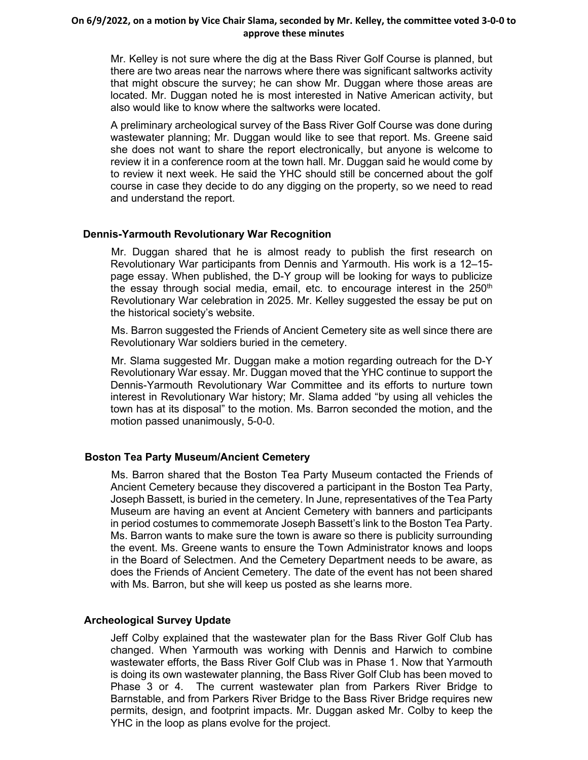#### **On 6/9/2022, on a motion by Vice Chair Slama, seconded by Mr. Kelley, the committee voted 3-0-0 to approve these minutes**

Mr. Kelley is not sure where the dig at the Bass River Golf Course is planned, but there are two areas near the narrows where there was significant saltworks activity that might obscure the survey; he can show Mr. Duggan where those areas are located. Mr. Duggan noted he is most interested in Native American activity, but also would like to know where the saltworks were located.

A preliminary archeological survey of the Bass River Golf Course was done during wastewater planning; Mr. Duggan would like to see that report. Ms. Greene said she does not want to share the report electronically, but anyone is welcome to review it in a conference room at the town hall. Mr. Duggan said he would come by to review it next week. He said the YHC should still be concerned about the golf course in case they decide to do any digging on the property, so we need to read and understand the report.

# **Dennis-Yarmouth Revolutionary War Recognition**

Mr. Duggan shared that he is almost ready to publish the first research on Revolutionary War participants from Dennis and Yarmouth. His work is a 12–15 page essay. When published, the D-Y group will be looking for ways to publicize the essay through social media, email, etc. to encourage interest in the 250<sup>th</sup> Revolutionary War celebration in 2025. Mr. Kelley suggested the essay be put on the historical society's website.

Ms. Barron suggested the Friends of Ancient Cemetery site as well since there are Revolutionary War soldiers buried in the cemetery.

Mr. Slama suggested Mr. Duggan make a motion regarding outreach for the D-Y Revolutionary War essay. Mr. Duggan moved that the YHC continue to support the Dennis-Yarmouth Revolutionary War Committee and its efforts to nurture town interest in Revolutionary War history; Mr. Slama added "by using all vehicles the town has at its disposal" to the motion. Ms. Barron seconded the motion, and the motion passed unanimously, 5-0-0.

# **Boston Tea Party Museum/Ancient Cemetery**

Ms. Barron shared that the Boston Tea Party Museum contacted the Friends of Ancient Cemetery because they discovered a participant in the Boston Tea Party, Joseph Bassett, is buried in the cemetery. In June, representatives of the Tea Party Museum are having an event at Ancient Cemetery with banners and participants in period costumes to commemorate Joseph Bassett's link to the Boston Tea Party. Ms. Barron wants to make sure the town is aware so there is publicity surrounding the event. Ms. Greene wants to ensure the Town Administrator knows and loops in the Board of Selectmen. And the Cemetery Department needs to be aware, as does the Friends of Ancient Cemetery. The date of the event has not been shared with Ms. Barron, but she will keep us posted as she learns more.

# **Archeological Survey Update**

Jeff Colby explained that the wastewater plan for the Bass River Golf Club has changed. When Yarmouth was working with Dennis and Harwich to combine wastewater efforts, the Bass River Golf Club was in Phase 1. Now that Yarmouth is doing its own wastewater planning, the Bass River Golf Club has been moved to Phase 3 or 4. The current wastewater plan from Parkers River Bridge to Barnstable, and from Parkers River Bridge to the Bass River Bridge requires new permits, design, and footprint impacts. Mr. Duggan asked Mr. Colby to keep the YHC in the loop as plans evolve for the project.